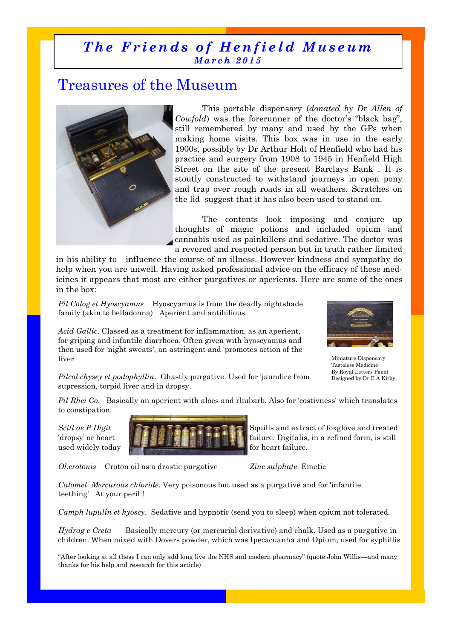## *The Friends of Henfield Museum Ma r c h 2 0 1 5*

## Treasures of the Museum



This portable dispensary (*donated by Dr Allen of Cowfold*) was the forerunner of the doctor's "black bag", still remembered by many and used by the GPs when making home visits. This box was in use in the early 1900s, possibly by Dr Arthur Holt of Henfield who had his practice and surgery from 1908 to 1945 in Henfield High Street on the site of the present Barclays Bank . It is stoutly constructed to withstand journeys in open pony and trap over rough roads in all weathers. Scratches on the lid suggest that it has also been used to stand on.

The contents look imposing and conjure up thoughts of magic potions and included opium and cannabis used as painkillers and sedative. The doctor was a revered and respected person but in truth rather limited

in his ability to influence the course of an illness. However kindness and sympathy do help when you are unwell. Having asked professional advice on the efficacy of these medicines it appears that most are either purgatives or aperients. Here are some of the ones in the box:

*Pil Colog et Hyoscyamus* Hyoscyamus is from the deadly nightshade family (akin to belladonna) Aperient and antibilious.

*Acid Gallic*. Classed as a treatment for inflammation, as an aperient, for griping and infantile diarrhoea. Often given with hyoscyamus and then used for 'night sweats', an astringent and 'promotes action of the liver



Miniature Dispensary Tasteless Medicine By Royal Letters Paent Designed by Dr E A Kirby

*Pilcol chysey et podophyllin*. Ghastly purgative. Used for 'jaundice from supression, torpid liver and in dropsy.

*Pil Rhei Co*. Basically an aperient with aloes and rhubarb. Also for 'costivness' which translates to constipation.



*Ol.crotonis* Croton oil as a drastic purgative *Zinc sulphate* Emetic

*Calomel Mercurous chloride*. Very poisonous but used as a purgative and for 'infantile teething' At your peril !

*Camph lupulin et hyoscy*. Sedative and hypnotic (send you to sleep) when opium not tolerated.

*Hydrag c Creta* Basically mercury (or mercurial derivative) and chalk. Used as a purgative in children. When mixed with Dovers powder, which was Ipecacuanha and Opium, used for syphillis

"After looking at all these I can only add long live the NHS and modern pharmacy" (quote John Willis—and many thanks for his help and research for this article)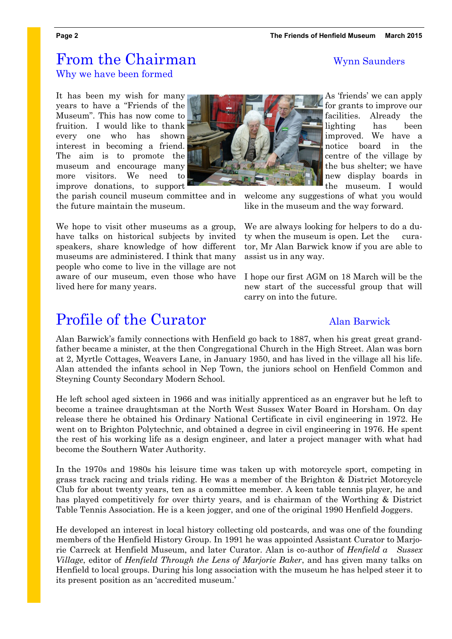## From the Chairman Wynn Saunders Why we have been formed

It has been my wish for many years to have a "Friends of the Museum". This has now come to fruition. I would like to thank every one who has shown interest in becoming a friend. The aim is to promote the museum and encourage many more visitors. We need to improve donations, to support

the parish council museum committee and in the future maintain the museum.

We hope to visit other museums as a group, have talks on historical subjects by invited speakers, share knowledge of how different museums are administered. I think that many people who come to live in the village are not aware of our museum, even those who have lived here for many years.

## **Profile of the Curator** Alan Barwick

Alan Barwick's family connections with Henfield go back to 1887, when his great great grandfather became a minister, at the then Congregational Church in the High Street. Alan was born at 2, Myrtle Cottages, Weavers Lane, in January 1950, and has lived in the village all his life. Alan attended the infants school in Nep Town, the juniors school on Henfield Common and Steyning County Secondary Modern School.

He left school aged sixteen in 1966 and was initially apprenticed as an engraver but he left to become a trainee draughtsman at the North West Sussex Water Board in Horsham. On day release there he obtained his Ordinary National Certificate in civil engineering in 1972. He went on to Brighton Polytechnic, and obtained a degree in civil engineering in 1976. He spent the rest of his working life as a design engineer, and later a project manager with what had become the Southern Water Authority.

In the 1970s and 1980s his leisure time was taken up with motorcycle sport, competing in grass track racing and trials riding. He was a member of the Brighton & District Motorcycle Club for about twenty years, ten as a committee member. A keen table tennis player, he and has played competitively for over thirty years, and is chairman of the Worthing & District Table Tennis Association. He is a keen jogger, and one of the original 1990 Henfield Joggers.

He developed an interest in local history collecting old postcards, and was one of the founding members of the Henfield History Group. In 1991 he was appointed Assistant Curator to Marjorie Carreck at Henfield Museum, and later Curator. Alan is co-author of *Henfield a Sussex Village*, editor of *Henfield Through the Lens of Marjorie Baker*, and has given many talks on Henfield to local groups. During his long association with the museum he has helped steer it to its present position as an 'accredited museum.'

As 'friends' we can apply for grants to improve our facilities. Already the lighting has been improved. We have a notice board in the centre of the village by the bus shelter; we have new display boards in the museum. I would

welcome any suggestions of what you would like in the museum and the way forward.

We are always looking for helpers to do a duty when the museum is open. Let the curator, Mr Alan Barwick know if you are able to assist us in any way.

I hope our first AGM on 18 March will be the new start of the successful group that will carry on into the future.

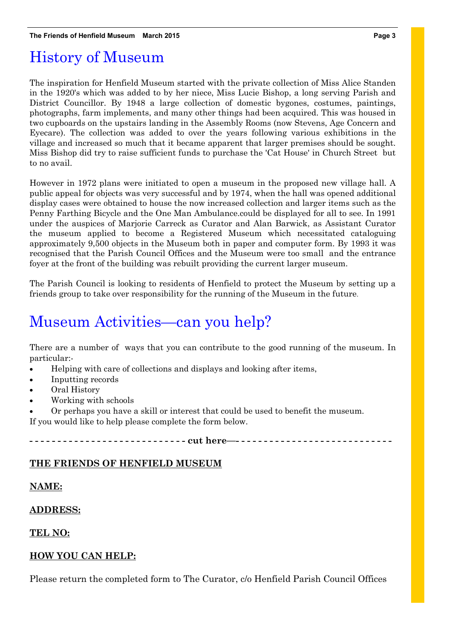## History of Museum

The inspiration for Henfield Museum started with the private collection of Miss Alice Standen in the 1920's which was added to by her niece, Miss Lucie Bishop, a long serving Parish and District Councillor. By 1948 a large collection of domestic bygones, costumes, paintings, photographs, farm implements, and many other things had been acquired. This was housed in two cupboards on the upstairs landing in the Assembly Rooms (now Stevens, Age Concern and Eyecare). The collection was added to over the years following various exhibitions in the village and increased so much that it became apparent that larger premises should be sought. Miss Bishop did try to raise sufficient funds to purchase the 'Cat House' in Church Street but to no avail.

However in 1972 plans were initiated to open a museum in the proposed new village hall. A public appeal for objects was very successful and by 1974, when the hall was opened additional display cases were obtained to house the now increased collection and larger items such as the Penny Farthing Bicycle and the One Man Ambulance.could be displayed for all to see. In 1991 under the auspices of Marjorie Carreck as Curator and Alan Barwick, as Assistant Curator the museum applied to become a Registered Museum which necessitated cataloguing approximately 9,500 objects in the Museum both in paper and computer form. By 1993 it was recognised that the Parish Council Offices and the Museum were too small and the entrance foyer at the front of the building was rebuilt providing the current larger museum.

The Parish Council is looking to residents of Henfield to protect the Museum by setting up a friends group to take over responsibility for the running of the Museum in the future.

## Museum Activities—can you help?

There are a number of ways that you can contribute to the good running of the museum. In particular:-

- Helping with care of collections and displays and looking after items,
- Inputting records
- Oral History
- Working with schools
- Or perhaps you have a skill or interest that could be used to benefit the museum.

If you would like to help please complete the form below.

----- cut here------------------------------

### **THE FRIENDS OF HENFIELD MUSEUM**

#### **NAME:**

#### **ADDRESS:**

### **TEL NO:**

### **HOW YOU CAN HELP:**

Please return the completed form to The Curator, c/o Henfield Parish Council Offices